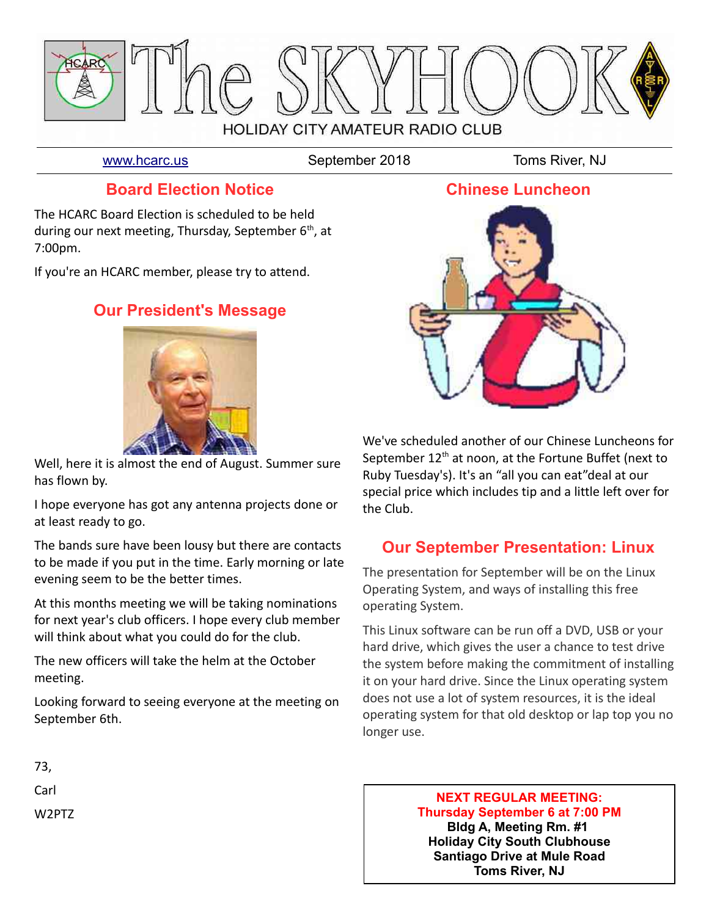

[www.hcarc.us](http://www.hcarc.us/) September 2018 Toms River, NJ

## **Board Election Notice**

The HCARC Board Election is scheduled to be held during our next meeting, Thursday, September  $6<sup>th</sup>$ , at 7:00pm.

If you're an HCARC member, please try to attend.

# **Our President's Message**



Well, here it is almost the end of August. Summer sure has flown by.

I hope everyone has got any antenna projects done or at least ready to go.

The bands sure have been lousy but there are contacts to be made if you put in the time. Early morning or late evening seem to be the better times.

At this months meeting we will be taking nominations for next year's club officers. I hope every club member will think about what you could do for the club.

The new officers will take the helm at the October meeting.

Looking forward to seeing everyone at the meeting on September 6th.

# **Chinese Luncheon**



We've scheduled another of our Chinese Luncheons for September  $12<sup>th</sup>$  at noon, at the Fortune Buffet (next to Ruby Tuesday's). It's an "all you can eat"deal at our special price which includes tip and a little left over for the Club.

# **Our September Presentation: Linux**

The presentation for September will be on the Linux Operating System, and ways of installing this free operating System.

This Linux software can be run off a DVD, USB or your hard drive, which gives the user a chance to test drive the system before making the commitment of installing it on your hard drive. Since the Linux operating system does not use a lot of system resources, it is the ideal operating system for that old desktop or lap top you no longer use.

#### **NEXT REGULAR MEETING: Thursday September 6 at 7:00 PM Bldg A, Meeting Rm. #1 Holiday City South Clubhouse Santiago Drive at Mule Road Toms River, NJ**

73,

Carl

W2PTZ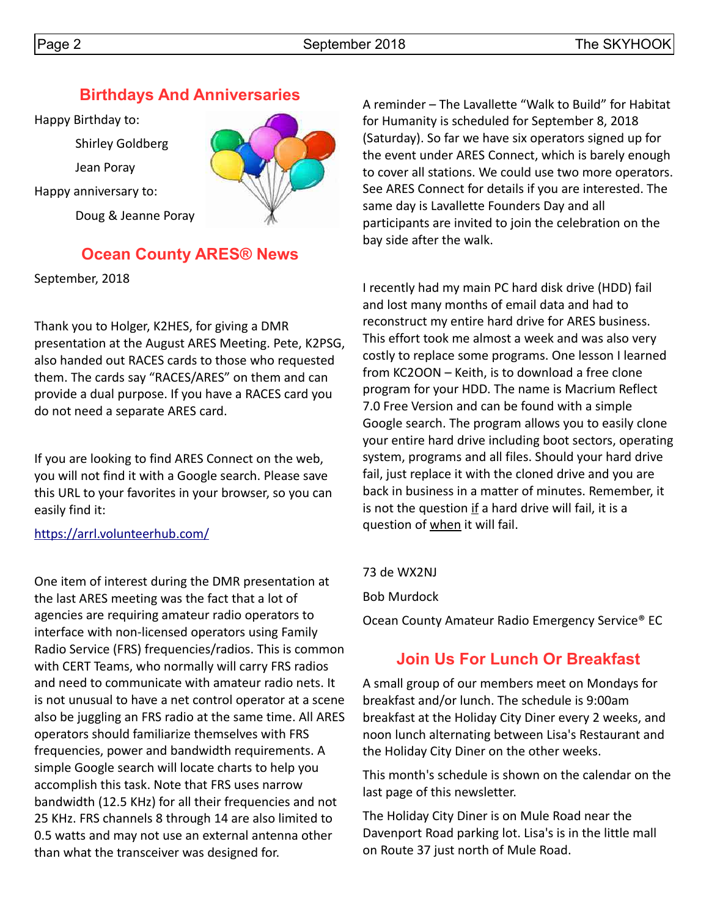# **Birthdays And Anniversaries**

Happy Birthday to:

Shirley Goldberg

Jean Poray

Happy anniversary to:

Doug & Jeanne Poray



# **Ocean County ARES® News**

September, 2018

Thank you to Holger, K2HES, for giving a DMR presentation at the August ARES Meeting. Pete, K2PSG, also handed out RACES cards to those who requested them. The cards say "RACES/ARES" on them and can provide a dual purpose. If you have a RACES card you do not need a separate ARES card.

If you are looking to find ARES Connect on the web, you will not find it with a Google search. Please save this URL to your favorites in your browser, so you can easily find it:

## <https://arrl.volunteerhub.com/>

One item of interest during the DMR presentation at the last ARES meeting was the fact that a lot of agencies are requiring amateur radio operators to interface with non-licensed operators using Family Radio Service (FRS) frequencies/radios. This is common with CERT Teams, who normally will carry FRS radios and need to communicate with amateur radio nets. It is not unusual to have a net control operator at a scene also be juggling an FRS radio at the same time. All ARES operators should familiarize themselves with FRS frequencies, power and bandwidth requirements. A simple Google search will locate charts to help you accomplish this task. Note that FRS uses narrow bandwidth (12.5 KHz) for all their frequencies and not 25 KHz. FRS channels 8 through 14 are also limited to 0.5 watts and may not use an external antenna other than what the transceiver was designed for.

A reminder – The Lavallette "Walk to Build" for Habitat for Humanity is scheduled for September 8, 2018 (Saturday). So far we have six operators signed up for the event under ARES Connect, which is barely enough to cover all stations. We could use two more operators. See ARES Connect for details if you are interested. The same day is Lavallette Founders Day and all participants are invited to join the celebration on the bay side after the walk.

I recently had my main PC hard disk drive (HDD) fail and lost many months of email data and had to reconstruct my entire hard drive for ARES business. This effort took me almost a week and was also very costly to replace some programs. One lesson I learned from KC2OON – Keith, is to download a free clone program for your HDD. The name is Macrium Reflect 7.0 Free Version and can be found with a simple Google search. The program allows you to easily clone your entire hard drive including boot sectors, operating system, programs and all files. Should your hard drive fail, just replace it with the cloned drive and you are back in business in a matter of minutes. Remember, it is not the question  $if$  a hard drive will fail, it is a question of when it will fail.

73 de WX2NJ

Bob Murdock

Ocean County Amateur Radio Emergency Service® EC

# **Join Us For Lunch Or Breakfast**

A small group of our members meet on Mondays for breakfast and/or lunch. The schedule is 9:00am breakfast at the Holiday City Diner every 2 weeks, and noon lunch alternating between Lisa's Restaurant and the Holiday City Diner on the other weeks.

This month's schedule is shown on the calendar on the last page of this newsletter.

The Holiday City Diner is on Mule Road near the Davenport Road parking lot. Lisa's is in the little mall on Route 37 just north of Mule Road.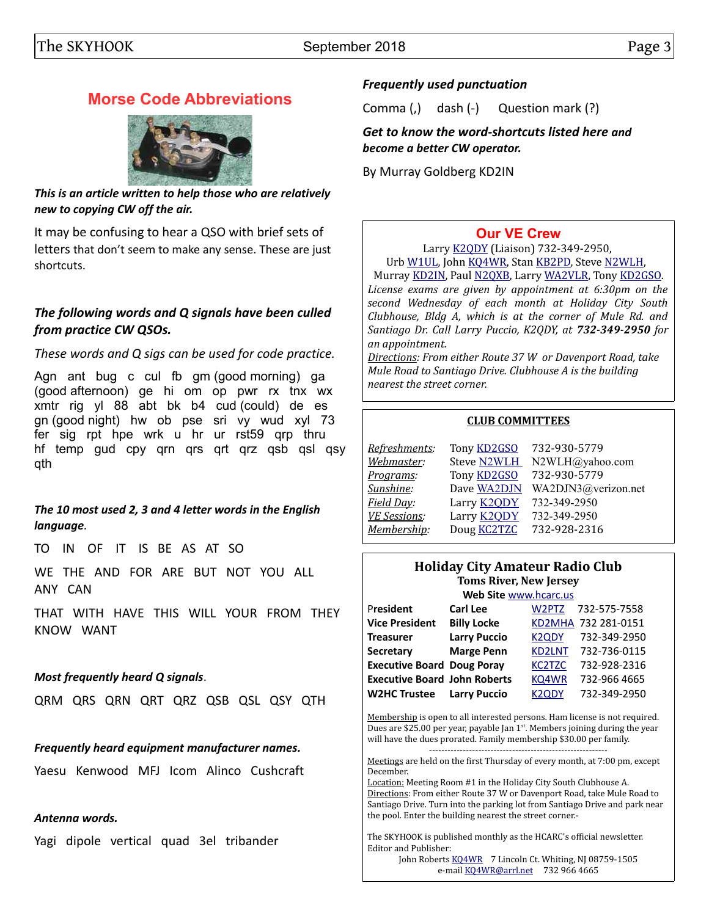## **Morse Code Abbreviations**



*This is an article written to help those who are relatively new to copying CW off the air.*

It may be confusing to hear a QSO with brief sets of letters that don't seem to make any sense. These are just shortcuts.

#### *The following words and Q signals have been culled from practice CW QSOs.*

*These words and Q sigs can be used for code practice.*

Agn ant bug c cul fb gm (good morning) ga (good afternoon) ge hi om op pwr rx tnx wx xmtr rig yl 88 abt bk b4 cud (could) de es gn (good night) hw ob pse sri vy wud xyl 73 fer sig rpt hpe wrk u hr ur rst59 qrp thru hf temp gud cpy qrn qrs qrt qrz qsb qsl qsy qth

*The 10 most used 2, 3 and 4 letter words in the English language.*

TO IN OF IT IS BE AS AT SO

WE THE AND FOR ARE BUT NOT YOU ALL ANY CAN

THAT WITH HAVE THIS WILL YOUR FROM THEY KNOW WANT

#### *Most frequently heard Q signals*.

QRM QRS QRN QRT QRZ QSB QSL QSY QTH

#### *Frequently heard equipment manufacturer names.*

Yaesu Kenwood MFJ Icom Alinco Cushcraft

#### *Antenna words.*

Yagi dipole vertical quad 3el tribander

### *Frequently used punctuation*

Comma (,) dash (-) Question mark (?)

*Get to know the word-shortcuts listed here and become a better CW operator.*

By Murray Goldberg KD2IN

## **[Our VE Crew](mailto:lpuccio1@comcast.net?subject=VE)**

Larry [K2QDY](mailto:lpuccio1@comcast.net) (Liaison) 732-349-2950, Urb [W1UL,](mailto:urb@W1UL.com) John [KQ4WR,](mailto:kq4wr@arrl.net) Stan [KB2PD,](mailto:kb2pd@hotmail.com) Steve [N2WLH,](mailto:n2wlh@yahoo.com)

Murray [KD2IN,](mailto:murraykd2in@comcast.net) Paul [N2QXB,](mailto:n2qxb@juno.com) Larry [WA2VLR,](mailto:lloscalz@optonline.net) Tony [KD2GSO.](mailto:tonyk613@comcast.net) *License exams are given by appointment at 6:30pm on the second Wednesday of each month at Holiday City South Clubhouse, Bldg A, which is at the corner of Mule Rd. and Santiago Dr. Call Larry Puccio, K2QDY, at 732-349-2950 for an appointment.* 

*Directions: From either Route 37 W or Davenport Road, take Mule Road to Santiago Drive. Clubhouse A is the building nearest the street corner.*

#### **CLUB COMMITTEES**

| Refreshments:       | Tony <b>KD2GSO</b> | 732-930-5779        |
|---------------------|--------------------|---------------------|
| Webmaster:          | <b>Steve N2WLH</b> | N2WLH@yahoo.com     |
| Programs:           | Tony <b>KD2GSO</b> | 732-930-5779        |
| Sunshine:           | Dave WA2DJN        | WA2DJN3@verizon.net |
| Field Day:          | Larry <b>K2QDY</b> | 732-349-2950        |
| <b>VE Sessions:</b> | Larry <b>K2ODY</b> | 732-349-2950        |
| Membership:         | Doug <b>KC2TZC</b> | 732-928-2316        |

#### **Holiday City Amateur Radio Club Toms River, New Jersey**

| Web Site www.hcarc.us               |                     |                                |                     |  |  |  |  |
|-------------------------------------|---------------------|--------------------------------|---------------------|--|--|--|--|
| President                           | <b>Carl Lee</b>     | W <sub>2</sub> PT <sub>Z</sub> | 732-575-7558        |  |  |  |  |
| <b>Vice President</b>               | <b>Billy Locke</b>  |                                | KD2MHA 732 281-0151 |  |  |  |  |
| <b>Treasurer</b>                    | <b>Larry Puccio</b> | K <sub>2</sub> ODY             | 732-349-2950        |  |  |  |  |
| <b>Secretary</b>                    | <b>Marge Penn</b>   | <b>KD2LNT</b>                  | 732-736-0115        |  |  |  |  |
| <b>Executive Board Doug Poray</b>   |                     | <b>KC2TZC</b>                  | 732-928-2316        |  |  |  |  |
| <b>Executive Board John Roberts</b> |                     | KQ4WR                          | 732-966 4665        |  |  |  |  |
| <b>W2HC Trustee</b>                 | <b>Larry Puccio</b> | K2ODY                          | 732-349-2950        |  |  |  |  |

Membership is open to all interested persons. Ham license is not required. Dues are \$25.00 per year, payable Jan  $1<sup>st</sup>$ . Members joining during the year will have the dues prorated. Family membership \$30.00 per family. ----------------------------------------------------------

Meetings are held on the first Thursday of every month, at 7:00 pm, except December.

Location: Meeting Room #1 in the Holiday City South Clubhouse A. Directions: From either Route 37 W or Davenport Road, take Mule Road to Santiago Drive. Turn into the parking lot from Santiago Drive and park near the pool. Enter the building nearest the street corner.-

The SKYHOOK is published monthly as the HCARC's official newsletter. Editor and Publisher:

John Roberts [KQ4WR](mailto:kq4wr@arrl.net) 7 Lincoln Ct. Whiting, NJ 08759-1505 e-mail [KQ4WR@arrl.net](mailto:KQ4WR@arrl.net) 732 966 4665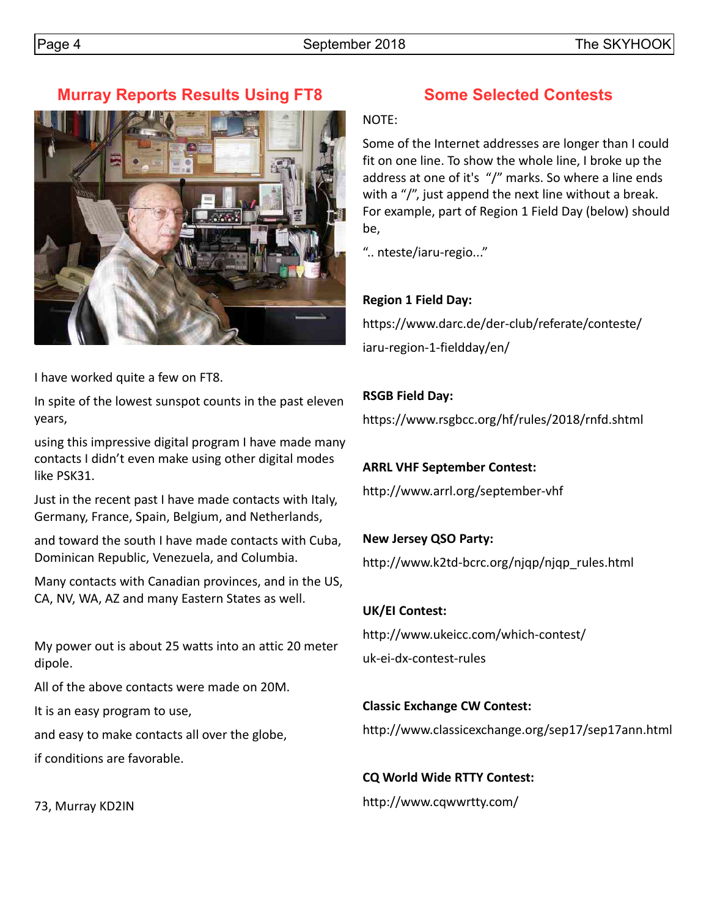# **Murray Reports Results Using FT8**



I have worked quite a few on FT8.

In spite of the lowest sunspot counts in the past eleven years,

using this impressive digital program I have made many contacts I didn't even make using other digital modes like PSK31.

Just in the recent past I have made contacts with Italy, Germany, France, Spain, Belgium, and Netherlands,

and toward the south I have made contacts with Cuba, Dominican Republic, Venezuela, and Columbia.

Many contacts with Canadian provinces, and in the US, CA, NV, WA, AZ and many Eastern States as well.

My power out is about 25 watts into an attic 20 meter dipole.

All of the above contacts were made on 20M.

It is an easy program to use,

and easy to make contacts all over the globe,

if conditions are favorable.

73, Murray KD2IN

# **Some Selected Contests**

NOTE:

Some of the Internet addresses are longer than I could fit on one line. To show the whole line, I broke up the address at one of it's "/" marks. So where a line ends with a "/", just append the next line without a break. For example, part of Region 1 Field Day (below) should be,

".. nteste/iaru-regio..."

## **Region 1 Field Day:**

https://www.darc.de/der-club/referate/conteste/ iaru-region-1-fieldday/en/

## **RSGB Field Day:**

https://www.rsgbcc.org/hf/rules/2018/rnfd.shtml

## **ARRL VHF September Contest:**

http://www.arrl.org/september-vhf

## **New Jersey QSO Party:**

http://www.k2td-bcrc.org/njqp/njqp\_rules.html

#### **UK/EI Contest:**

http://www.ukeicc.com/which-contest/ uk-ei-dx-contest-rules

#### **Classic Exchange CW Contest:**

http://www.classicexchange.org/sep17/sep17ann.html

## **CQ World Wide RTTY Contest:**

http://www.cqwwrtty.com/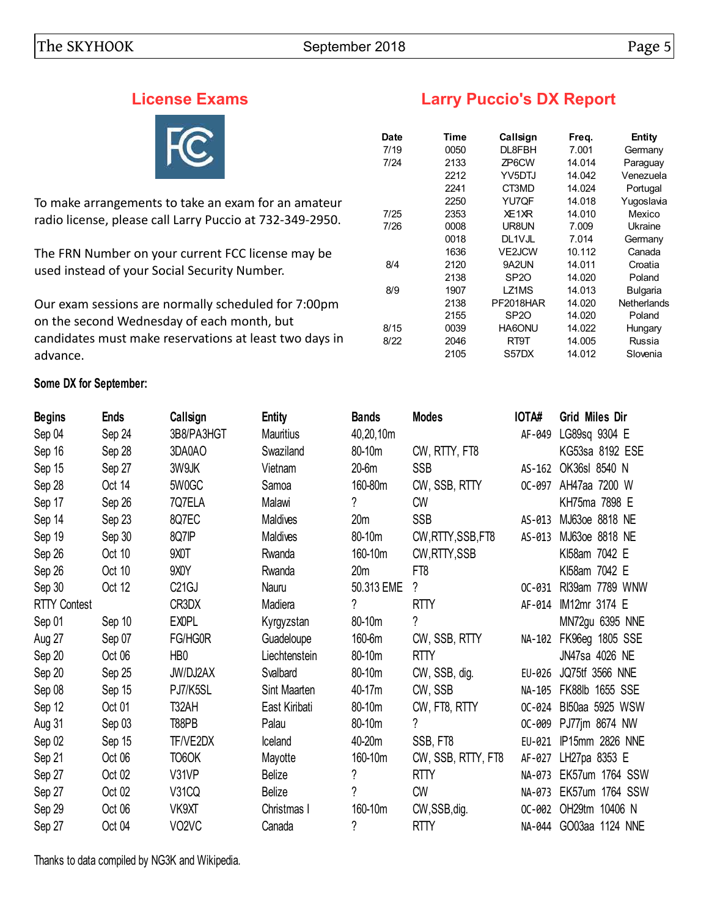# **License Exams**



To make arrangements to take an exam for an amateur radio license, please call Larry Puccio at 732-349-2950.

The FRN Number on your current FCC license may be used instead of your Social Security Number.

Our exam sessions are normally scheduled for 7:00pm on the second Wednesday of each month, but candidates must make reservations at least two days in advance.

#### **Some DX for September:**

|  | <b>Larry Puccio's DX Report</b> |  |  |
|--|---------------------------------|--|--|
|--|---------------------------------|--|--|

| Date | Time | Callsign         | Freq.  | Entity             |
|------|------|------------------|--------|--------------------|
| 7/19 | 0050 | DL8FBH           | 7.001  | Germany            |
| 7/24 | 2133 | ZP6CW            | 14.014 | Paraguay           |
|      | 2212 | YV5DTJ           | 14.042 | Venezuela          |
|      | 2241 | CT3MD            | 14.024 | Portugal           |
|      | 2250 | YU7QF            | 14.018 | Yugoslavia         |
| 7/25 | 2353 | XE1XR            | 14.010 | Mexico             |
| 7/26 | 0008 | UR8UN            | 7.009  | Ukraine            |
|      | 0018 | DL1VJL           | 7.014  | Germany            |
|      | 1636 | <b>VE2JCW</b>    | 10.112 | Canada             |
| 8/4  | 2120 | 9A2UN            | 14.011 | Croatia            |
|      | 2138 | SP <sub>20</sub> | 14.020 | Poland             |
| 8/9  | 1907 | LZ1MS            | 14.013 | <b>Bulgaria</b>    |
|      | 2138 | PF2018HAR        | 14.020 | <b>Netherlands</b> |
|      | 2155 | SP <sub>20</sub> | 14.020 | Poland             |
| 8/15 | 0039 | HA6ONU           | 14.022 | Hungary            |
| 8/22 | 2046 | RT9T             | 14.005 | Russia             |
|      | 2105 | S57DX            | 14.012 | Slovenia           |
|      |      |                  |        |                    |

| <b>Begins</b>       | <b>Ends</b> | Callsign                       | <b>Entity</b>    | <b>Bands</b>    | <b>Modes</b>       | IOTA#    | <b>Grid Miles Dir</b> |
|---------------------|-------------|--------------------------------|------------------|-----------------|--------------------|----------|-----------------------|
| Sep 04              | Sep 24      | 3B8/PA3HGT                     | <b>Mauritius</b> | 40,20,10m       |                    | AF-049   | LG89sq 9304 E         |
| Sep 16              | Sep 28      | 3DA0AO                         | Swaziland        | 80-10m          | CW, RTTY, FT8      |          | KG53sa 8192 ESE       |
| Sep 15              | Sep 27      | 3W9JK                          | Vietnam          | 20-6m           | <b>SSB</b>         | AS-162   | OK36sl 8540 N         |
| Sep 28              | Oct 14      | 5W0GC                          | Samoa            | 160-80m         | CW, SSB, RTTY      | $OC-097$ | AH47aa 7200 W         |
| Sep 17              | Sep 26      | 7Q7ELA                         | Malawi           | ?               | <b>CW</b>          |          | KH75ma 7898 E         |
| Sep 14              | Sep 23      | 8Q7EC                          | Maldives         | 20 <sub>m</sub> | <b>SSB</b>         | AS-013   | MJ63oe 8818 NE        |
| Sep 19              | Sep 30      | 8Q7IP                          | Maldives         | 80-10m          | CW, RTTY, SSB, FT8 | AS-013   | MJ630e 8818 NE        |
| Sep 26              | Oct 10      | 9XOT                           | Rwanda           | 160-10m         | CW, RTTY, SSB      |          | KI58am 7042 E         |
| Sep 26              | Oct 10      | 9XOY                           | Rwanda           | 20 <sub>m</sub> | FT <sub>8</sub>    |          | KI58am 7042 E         |
| Sep 30              | Oct 12      | C <sub>21</sub> GJ             | Nauru            | 50.313 EME      | ?                  | $OC-031$ | RI39am 7789 WNW       |
| <b>RTTY Contest</b> |             | CR3DX                          | Madiera          | ?               | <b>RTTY</b>        | AF-014   | IM12mr 3174 E         |
| Sep 01              | Sep 10      | <b>EXOPL</b>                   | Kyrgyzstan       | 80-10m          | ?                  |          | MN72gu 6395 NNE       |
| Aug 27              | Sep 07      | FG/HG0R                        | Guadeloupe       | 160-6m          | CW, SSB, RTTY      | NA-102   | FK96eg 1805 SSE       |
| Sep 20              | Oct 06      | HB <sub>0</sub>                | Liechtenstein    | 80-10m          | <b>RTTY</b>        |          | JN47sa 4026 NE        |
| Sep 20              | Sep 25      | JW/DJ2AX                       | Svalbard         | 80-10m          | CW, SSB, dig.      | EU-026   | JQ75tf 3566 NNE       |
| Sep 08              | Sep 15      | PJ7/K5SL                       | Sint Maarten     | 40-17m          | CW, SSB            | NA-105   | FK88lb 1655 SSE       |
| Sep 12              | Oct 01      | T32AH                          | East Kiribati    | 80-10m          | CW, FT8, RTTY      | $OC-024$ | BI50aa 5925 WSW       |
| Aug 31              | Sep 03      | T88PB                          | Palau            | 80-10m          | ?                  | OC-009   | PJ77jm 8674 NW        |
| Sep 02              | Sep 15      | TF/VE2DX                       | Iceland          | 40-20m          | SSB, FT8           | EU-021   | IP15mm 2826 NNE       |
| Sep 21              | Oct 06      | TO6OK                          | Mayotte          | 160-10m         | CW, SSB, RTTY, FT8 | AF-027   | LH27pa 8353 E         |
| Sep 27              | Oct 02      | V31VP                          | <b>Belize</b>    | ?               | <b>RTTY</b>        | NA-073   | EK57um 1764 SSW       |
| Sep 27              | Oct 02      | V31CQ                          | Belize           | ?               | <b>CW</b>          | NA-073   | EK57um 1764 SSW       |
| Sep 29              | Oct 06      | VK9XT                          | Christmas I      | 160-10m         | CW, SSB, dig.      | $OC-002$ | OH29tm 10406 N        |
| Sep 27              | Oct 04      | VO <sub>2</sub> V <sub>C</sub> | Canada           | $\overline{?}$  | <b>RTTY</b>        | NA-044   | GO03aa 1124 NNE       |

Thanks to data compiled by NG3K and Wikipedia.